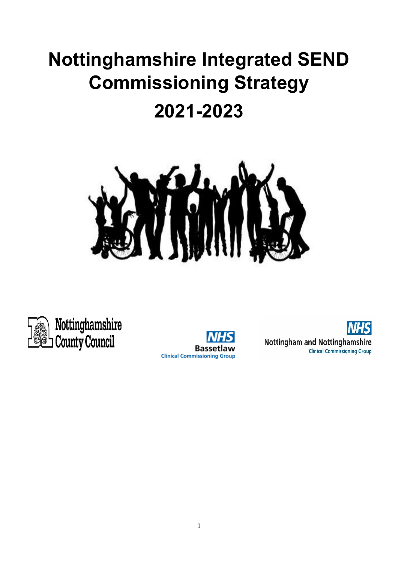# **Nottinghamshire Integrated SEND Commissioning Strategy**

## **2021-2023**





Nottinghamshire **County Council** 



**Nottingham and Nottinghamshire Clinical Commissioning Group**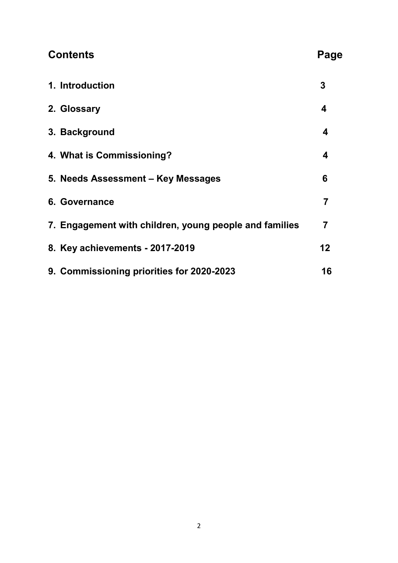## **Contents** Page

| 1. Introduction                                        | 3  |
|--------------------------------------------------------|----|
| 2. Glossary                                            | 4  |
| 3. Background                                          | 4  |
| 4. What is Commissioning?                              | 4  |
| 5. Needs Assessment - Key Messages                     | 6  |
| 6. Governance                                          | 7  |
| 7. Engagement with children, young people and families | 7  |
| 8. Key achievements - 2017-2019                        | 12 |
| 9. Commissioning priorities for 2020-2023              | 16 |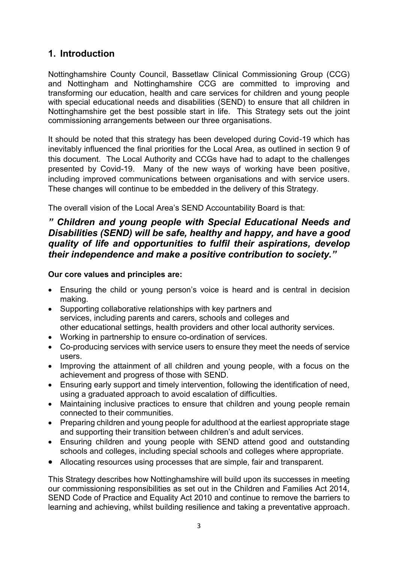## **1. Introduction**

Nottinghamshire County Council, Bassetlaw Clinical Commissioning Group (CCG) and Nottingham and Nottinghamshire CCG are committed to improving and transforming our education, health and care services for children and young people with special educational needs and disabilities (SEND) to ensure that all children in Nottinghamshire get the best possible start in life. This Strategy sets out the joint commissioning arrangements between our three organisations.

It should be noted that this strategy has been developed during Covid-19 which has inevitably influenced the final priorities for the Local Area, as outlined in section 9 of this document. The Local Authority and CCGs have had to adapt to the challenges presented by Covid-19. Many of the new ways of working have been positive, including improved communications between organisations and with service users. These changes will continue to be embedded in the delivery of this Strategy.

The overall vision of the Local Area's SEND Accountability Board is that:

#### *" Children and young people with Special Educational Needs and Disabilities (SEND) will be safe, healthy and happy, and have a good quality of life and opportunities to fulfil their aspirations, develop their independence and make a positive contribution to society."*

#### **Our core values and principles are:**

- Ensuring the child or young person's voice is heard and is central in decision making.
- Supporting collaborative relationships with key partners and services, including parents and carers, schools and colleges and other educational settings, health providers and other local authority services.
- Working in partnership to ensure co-ordination of services.
- Co-producing services with service users to ensure they meet the needs of service users.
- Improving the attainment of all children and young people, with a focus on the achievement and progress of those with SEND.
- Ensuring early support and timely intervention, following the identification of need, using a graduated approach to avoid escalation of difficulties.
- Maintaining inclusive practices to ensure that children and young people remain connected to their communities.
- Preparing children and young people for adulthood at the earliest appropriate stage and supporting their transition between children's and adult services.
- Ensuring children and young people with SEND attend good and outstanding schools and colleges, including special schools and colleges where appropriate.
- Allocating resources using processes that are simple, fair and transparent.

This Strategy describes how Nottinghamshire will build upon its successes in meeting our commissioning responsibilities as set out in the Children and Families Act 2014, SEND Code of Practice and Equality Act 2010 and continue to remove the barriers to learning and achieving, whilst building resilience and taking a preventative approach.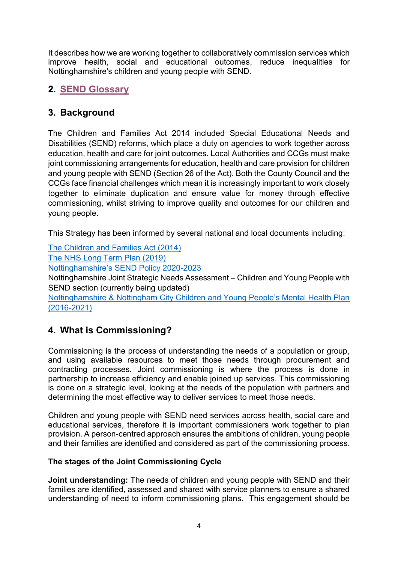It describes how we are working together to collaboratively commission services which improve health, social and educational outcomes, reduce inequalities for Nottinghamshire's children and young people with SEND.

## **2. [SEND Glossary](https://search3.openobjects.com/mediamanager/nottinghamshire/fsd/files/glossary_of_terms.pdf)**

## **3. Background**

The Children and Families Act 2014 included Special Educational Needs and Disabilities (SEND) reforms, which place a duty on agencies to work together across education, health and care for joint outcomes. Local Authorities and CCGs must make joint commissioning arrangements for education, health and care provision for children and young people with SEND (Section 26 of the Act). Both the County Council and the CCGs face financial challenges which mean it is increasingly important to work closely together to eliminate duplication and ensure value for money through effective commissioning, whilst striving to improve quality and outcomes for our children and young people.

This Strategy has been informed by several national and local documents including:

[The Children and Families Act \(2014\)](https://www.legislation.gov.uk/ukpga/2014/6/pdfs/ukpga_20140006_en.pdf)

[The NHS Long Term Plan \(2019\)](https://www.longtermplan.nhs.uk/)

Nottinghamshire's [SEND Policy 2020-2023](https://www.nottinghamshire.gov.uk/DMS/Document.ashx?czJKcaeAi5tUFL1DTL2UE4zNRBcoShgo=Dst92sABdrjm42%2fbZl6bF74cVMGtTpgTgefPJ%2fwxRpp8nuZ%2buA9c5Q%3d%3d&rUzwRPf%2bZ3zd4E7Ikn8Lyw%3d%3d=pwRE6AGJFLDNlh225F5QMaQWCtPHwdhUfCZ%2fLUQzgA2uL5jNRG4jdQ%3d%3d&mCTIbCubSFfXsDGW9IXnlg%3d%3d=hFflUdN3100%3d&kCx1AnS9%2fpWZQ40DXFvdEw%3d%3d=hFflUdN3100%3d&uJovDxwdjMPoYv%2bAJvYtyA%3d%3d=ctNJFf55vVA%3d&FgPlIEJYlotS%2bYGoBi5olA%3d%3d=NHdURQburHA%3d&d9Qjj0ag1Pd993jsyOJqFvmyB7X0CSQK=ctNJFf55vVA%3d&WGewmoAfeNR9xqBux0r1Q8Za60lavYmz=ctNJFf55vVA%3d&WGewmoAfeNQ16B2MHuCpMRKZMwaG1PaO=ctNJFf55vVA%3d)

Nottinghamshire Joint Strategic Needs Assessment – Children and Young People with SEND section (currently being updated)

[Nottinghamshire & Nottingham City Children and Young People's Mental Health Plan](https://www.newarkandsherwoodccg.nhs.uk/media/26873/notts-joint-transformation-plan-for-children.pdf) (2016-2021)

## **4. What is Commissioning?**

Commissioning is the process of understanding the needs of a population or group, and using available resources to meet those needs through procurement and contracting processes. Joint commissioning is where the process is done in partnership to increase efficiency and enable joined up services. This commissioning is done on a strategic level, looking at the needs of the population with partners and determining the most effective way to deliver services to meet those needs.

Children and young people with SEND need services across health, social care and educational services, therefore it is important commissioners work together to plan provision. A person-centred approach ensures the ambitions of children, young people and their families are identified and considered as part of the commissioning process.

#### **The stages of the Joint Commissioning Cycle**

**Joint understanding:** The needs of children and young people with SEND and their families are identified, assessed and shared with service planners to ensure a shared understanding of need to inform commissioning plans. This engagement should be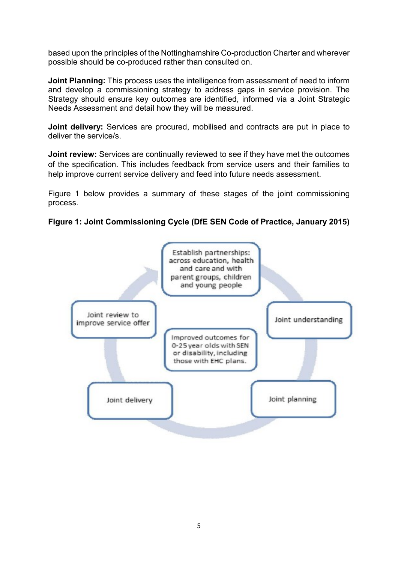based upon the principles of the Nottinghamshire Co-production Charter and wherever possible should be co-produced rather than consulted on.

**Joint Planning:** This process uses the intelligence from assessment of need to inform and develop a commissioning strategy to address gaps in service provision. The Strategy should ensure key outcomes are identified, informed via a Joint Strategic Needs Assessment and detail how they will be measured.

**Joint delivery:** Services are procured, mobilised and contracts are put in place to deliver the service/s.

**Joint review:** Services are continually reviewed to see if they have met the outcomes of the specification. This includes feedback from service users and their families to help improve current service delivery and feed into future needs assessment.

Figure 1 below provides a summary of these stages of the joint commissioning process.



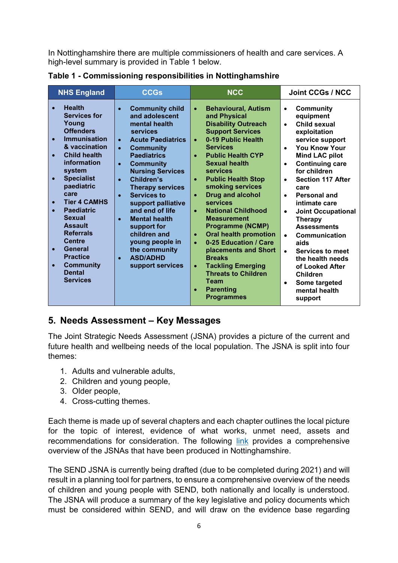In Nottinghamshire there are multiple commissioners of health and care services. A high-level summary is provided in Table 1 below.

| <b>NHS England</b><br><b>CCGs</b>                                                                                                                                                                                                                                                                                                                                                                                                                                                                         |                                                                                                                                                                                                                                                                                                                                                                                                                                                                                                                                                     | <b>NCC</b>                                                                                                                                                                                                                                                                                                                                                                                                                                                                                                                                                                                                                                                                                                     | <b>Joint CCGs / NCC</b>                                                                                                                                                                                                                                                                                                                                                                                                                                                                                                                                                                         |  |
|-----------------------------------------------------------------------------------------------------------------------------------------------------------------------------------------------------------------------------------------------------------------------------------------------------------------------------------------------------------------------------------------------------------------------------------------------------------------------------------------------------------|-----------------------------------------------------------------------------------------------------------------------------------------------------------------------------------------------------------------------------------------------------------------------------------------------------------------------------------------------------------------------------------------------------------------------------------------------------------------------------------------------------------------------------------------------------|----------------------------------------------------------------------------------------------------------------------------------------------------------------------------------------------------------------------------------------------------------------------------------------------------------------------------------------------------------------------------------------------------------------------------------------------------------------------------------------------------------------------------------------------------------------------------------------------------------------------------------------------------------------------------------------------------------------|-------------------------------------------------------------------------------------------------------------------------------------------------------------------------------------------------------------------------------------------------------------------------------------------------------------------------------------------------------------------------------------------------------------------------------------------------------------------------------------------------------------------------------------------------------------------------------------------------|--|
| <b>Health</b><br>$\bullet$<br><b>Services for</b><br>Young<br><b>Offenders</b><br><b>Immunisation</b><br>& vaccination<br><b>Child health</b><br>$\bullet$<br>information<br>system<br><b>Specialist</b><br>$\bullet$<br>paediatric<br>care<br><b>Tier 4 CAMHS</b><br>$\bullet$<br><b>Paediatric</b><br>$\bullet$<br><b>Sexual</b><br><b>Assault</b><br><b>Referrals</b><br><b>Centre</b><br>General<br>$\bullet$<br><b>Practice</b><br><b>Community</b><br>$\bullet$<br><b>Dental</b><br><b>Services</b> | <b>Community child</b><br>$\bullet$<br>and adolescent<br>mental health<br><b>services</b><br><b>Acute Paediatrics</b><br>$\bullet$<br><b>Community</b><br>$\bullet$<br><b>Paediatrics</b><br><b>Community</b><br>$\bullet$<br><b>Nursing Services</b><br>Children's<br>$\bullet$<br><b>Therapy services</b><br><b>Services to</b><br>$\bullet$<br>support palliative<br>and end of life<br><b>Mental health</b><br>$\bullet$<br>support for<br>children and<br>young people in<br>the community<br><b>ASD/ADHD</b><br>$\bullet$<br>support services | <b>Behavioural, Autism</b><br>$\bullet$<br>and Physical<br><b>Disability Outreach</b><br><b>Support Services</b><br>0-19 Public Health<br>$\bullet$<br><b>Services</b><br><b>Public Health CYP</b><br>$\bullet$<br><b>Sexual health</b><br>services<br><b>Public Health Stop</b><br>$\bullet$<br>smoking services<br><b>Drug and alcohol</b><br>$\bullet$<br><b>services</b><br><b>National Childhood</b><br>$\bullet$<br><b>Measurement</b><br><b>Programme (NCMP)</b><br><b>Oral health promotion</b><br>$\bullet$<br>0-25 Education / Care<br>placements and Short<br><b>Breaks</b><br><b>Tackling Emerging</b><br>$\bullet$<br><b>Threats to Children</b><br>Team<br><b>Parenting</b><br><b>Programmes</b> | <b>Community</b><br>$\bullet$<br>equipment<br>Child sexual<br>exploitation<br>service support<br><b>You Know Your</b><br><b>Mind LAC pilot</b><br><b>Continuing care</b><br>$\bullet$<br>for children<br><b>Section 117 After</b><br>$\bullet$<br>care<br><b>Personal and</b><br>$\bullet$<br>intimate care<br><b>Joint Occupational</b><br>$\bullet$<br><b>Therapy</b><br><b>Assessments</b><br><b>Communication</b><br>$\bullet$<br>aids<br>Services to meet<br>$\bullet$<br>the health needs<br>of Looked After<br><b>Children</b><br>Some targeted<br>$\bullet$<br>mental health<br>support |  |

**Table 1 - Commissioning responsibilities in Nottinghamshire**

### **5. Needs Assessment – Key Messages**

The Joint Strategic Needs Assessment (JSNA) provides a picture of the current and future health and wellbeing needs of the local population. The JSNA is split into four themes:

- 1. Adults and vulnerable adults,
- 2. Children and young people,
- 3. Older people,
- 4. Cross-cutting themes.

Each theme is made up of several chapters and each chapter outlines the local picture for the topic of interest, evidence of what works, unmet need, assets and recommendations for consideration. The following [link](https://nottinghamshireinsight.org.uk/research-areas/jsna/) provides a comprehensive overview of the JSNAs that have been produced in Nottinghamshire.

The SEND JSNA is currently being drafted (due to be completed during 2021) and will result in a planning tool for partners, to ensure a comprehensive overview of the needs of children and young people with SEND, both nationally and locally is understood. The JSNA will produce a summary of the key legislative and policy documents which must be considered within SEND, and will draw on the evidence base regarding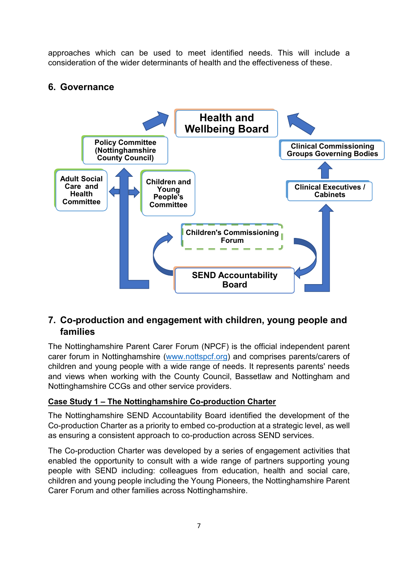approaches which can be used to meet identified needs. This will include a consideration of the wider determinants of health and the effectiveness of these.

## **6. Governance**



## **7. Co-production and engagement with children, young people and families**

The Nottinghamshire Parent Carer Forum (NPCF) is the official independent parent carer forum in Nottinghamshire [\(www.nottspcf.org\)](http://www.nottspcf.org/) and comprises parents/carers of children and young people with a wide range of needs. It represents parents' needs and views when working with the County Council, Bassetlaw and Nottingham and Nottinghamshire CCGs and other service providers.

#### **Case Study 1 – The Nottinghamshire Co-production Charter**

The Nottinghamshire SEND Accountability Board identified the development of the Co-production Charter as a priority to embed co-production at a strategic level, as well as ensuring a consistent approach to co-production across SEND services.

The Co-production Charter was developed by a series of engagement activities that enabled the opportunity to consult with a wide range of partners supporting young people with SEND including: colleagues from education, health and social care, children and young people including the Young Pioneers, the Nottinghamshire Parent Carer Forum and other families across Nottinghamshire.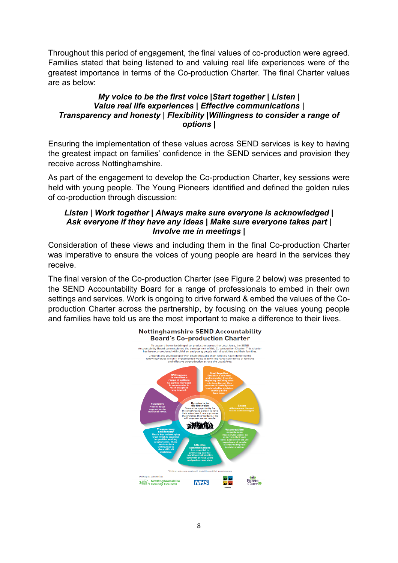Throughout this period of engagement, the final values of co-production were agreed. Families stated that being listened to and valuing real life experiences were of the greatest importance in terms of the Co-production Charter. The final Charter values are as below:

#### *My voice to be the first voice |Start together | Listen | Value real life experiences | Effective communications | Transparency and honesty | Flexibility |Willingness to consider a range of options |*

Ensuring the implementation of these values across SEND services is key to having the greatest impact on families' confidence in the SEND services and provision they receive across Nottinghamshire.

As part of the engagement to develop the Co-production Charter, key sessions were held with young people. The Young Pioneers identified and defined the golden rules of co-production through discussion:

#### *Listen | Work together | Always make sure everyone is acknowledged | Ask everyone if they have any ideas | Make sure everyone takes part | Involve me in meetings |*

Consideration of these views and including them in the final Co-production Charter was imperative to ensure the voices of young people are heard in the services they receive.

The final version of the Co-production Charter (see Figure 2 below) was presented to the SEND Accountability Board for a range of professionals to embed in their own settings and services. Work is ongoing to drive forward & embed the values of the Coproduction Charter across the partnership, by focusing on the values young people and families have told us are the most important to make a difference to their lives.

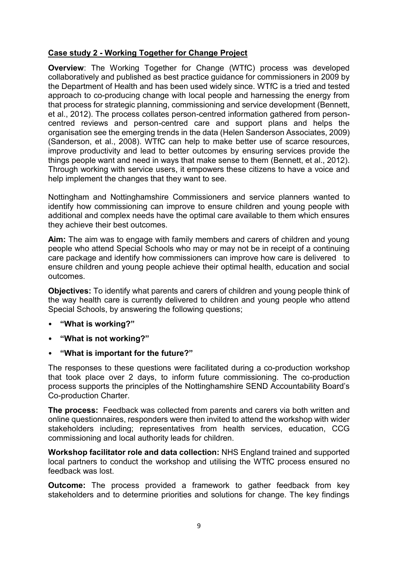#### **Case study 2 - Working Together for Change Project**

**Overview**: The Working Together for Change (WTfC) process was developed collaboratively and published as best practice guidance for commissioners in 2009 by the Department of Health and has been used widely since. WTfC is a tried and tested approach to co-producing change with local people and harnessing the energy from that process for strategic planning, commissioning and service development (Bennett, et al., 2012). The process collates person-centred information gathered from personcentred reviews and person-centred care and support plans and helps the organisation see the emerging trends in the data (Helen Sanderson Associates, 2009) (Sanderson, et al., 2008). WTfC can help to make better use of scarce resources, improve productivity and lead to better outcomes by ensuring services provide the things people want and need in ways that make sense to them (Bennett, et al., 2012). Through working with service users, it empowers these citizens to have a voice and help implement the changes that they want to see.

Nottingham and Nottinghamshire Commissioners and service planners wanted to identify how commissioning can improve to ensure children and young people with additional and complex needs have the optimal care available to them which ensures they achieve their best outcomes.

**Aim:** The aim was to engage with family members and carers of children and young people who attend Special Schools who may or may not be in receipt of a continuing care package and identify how commissioners can improve how care is delivered to ensure children and young people achieve their optimal health, education and social outcomes.

**Objectives:** To identify what parents and carers of children and young people think of the way health care is currently delivered to children and young people who attend Special Schools, by answering the following questions;

- **"What is working?"**
- **"What is not working?"**
- **"What is important for the future?"**

The responses to these questions were facilitated during a co-production workshop that took place over 2 days, to inform future commissioning. The co-production process supports the principles of the Nottinghamshire SEND Accountability Board's Co-production Charter.

**The process:** Feedback was collected from parents and carers via both written and online questionnaires, responders were then invited to attend the workshop with wider stakeholders including; representatives from health services, education, CCG commissioning and local authority leads for children.

**Workshop facilitator role and data collection:** NHS England trained and supported local partners to conduct the workshop and utilising the WTfC process ensured no feedback was lost.

**Outcome:** The process provided a framework to gather feedback from key stakeholders and to determine priorities and solutions for change. The key findings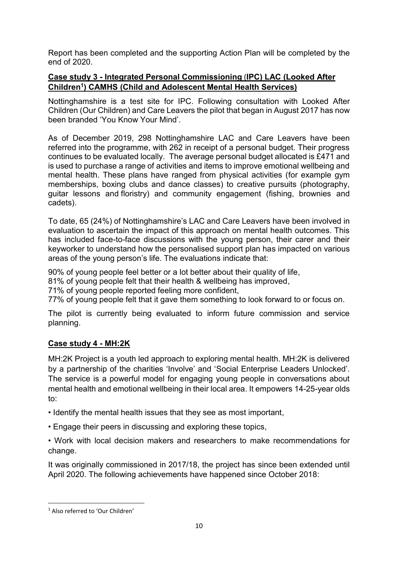Report has been completed and the supporting Action Plan will be completed by the end of 2020.

#### **Case study 3 - Integrated Personal Commissioning** (**IPC) LAC (Looked After Children<sup>1</sup> ) CAMHS (Child and Adolescent Mental Health Services)**

Nottinghamshire is a test site for IPC. Following consultation with Looked After Children (Our Children) and Care Leavers the pilot that began in August 2017 has now been branded 'You Know Your Mind'.

As of December 2019, 298 Nottinghamshire LAC and Care Leavers have been referred into the programme, with 262 in receipt of a personal budget. Their progress continues to be evaluated locally. The average personal budget allocated is £471 and is used to purchase a range of activities and items to improve emotional wellbeing and mental health. These plans have ranged from physical activities (for example gym memberships, boxing clubs and dance classes) to creative pursuits (photography, guitar lessons and floristry) and community engagement (fishing, brownies and cadets).

To date, 65 (24%) of Nottinghamshire's LAC and Care Leavers have been involved in evaluation to ascertain the impact of this approach on mental health outcomes. This has included face-to-face discussions with the young person, their carer and their keyworker to understand how the personalised support plan has impacted on various areas of the young person's life. The evaluations indicate that:

90% of young people feel better or a lot better about their quality of life,

81% of young people felt that their health & wellbeing has improved,

71% of young people reported feeling more confident,

77% of young people felt that it gave them something to look forward to or focus on.

The pilot is currently being evaluated to inform future commission and service planning.

#### **Case study 4 - MH:2K**

MH:2K Project is a youth led approach to exploring mental health. MH:2K is delivered by a partnership of the charities 'Involve' and 'Social Enterprise Leaders Unlocked'. The service is a powerful model for engaging young people in conversations about mental health and emotional wellbeing in their local area. It empowers 14-25-year olds to:

- Identify the mental health issues that they see as most important,
- Engage their peers in discussing and exploring these topics,
- Work with local decision makers and researchers to make recommendations for change.

It was originally commissioned in 2017/18, the project has since been extended until April 2020. The following achievements have happened since October 2018:

**.** 

<sup>1</sup> Also referred to 'Our Children'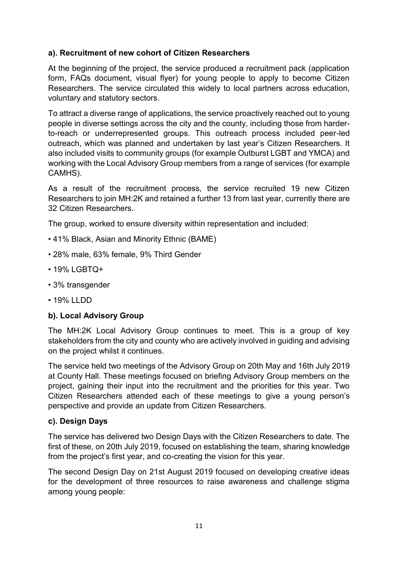#### **a). Recruitment of new cohort of Citizen Researchers**

At the beginning of the project, the service produced a recruitment pack (application form, FAQs document, visual flyer) for young people to apply to become Citizen Researchers. The service circulated this widely to local partners across education, voluntary and statutory sectors.

To attract a diverse range of applications, the service proactively reached out to young people in diverse settings across the city and the county, including those from harderto-reach or underrepresented groups. This outreach process included peer-led outreach, which was planned and undertaken by last year's Citizen Researchers. It also included visits to community groups (for example Outburst LGBT and YMCA) and working with the Local Advisory Group members from a range of services (for example CAMHS).

As a result of the recruitment process, the service recruited 19 new Citizen Researchers to join MH:2K and retained a further 13 from last year, currently there are 32 Citizen Researchers.

The group, worked to ensure diversity within representation and included:

- 41% Black, Asian and Minority Ethnic (BAME)
- 28% male, 63% female, 9% Third Gender
- 19% LGBTQ+
- 3% transgender
- 19% LLDD

#### **b). Local Advisory Group**

The MH:2K Local Advisory Group continues to meet. This is a group of key stakeholders from the city and county who are actively involved in guiding and advising on the project whilst it continues.

The service held two meetings of the Advisory Group on 20th May and 16th July 2019 at County Hall. These meetings focused on briefing Advisory Group members on the project, gaining their input into the recruitment and the priorities for this year. Two Citizen Researchers attended each of these meetings to give a young person's perspective and provide an update from Citizen Researchers.

#### **c). Design Days**

The service has delivered two Design Days with the Citizen Researchers to date. The first of these, on 20th July 2019, focused on establishing the team, sharing knowledge from the project's first year, and co-creating the vision for this year.

The second Design Day on 21st August 2019 focused on developing creative ideas for the development of three resources to raise awareness and challenge stigma among young people: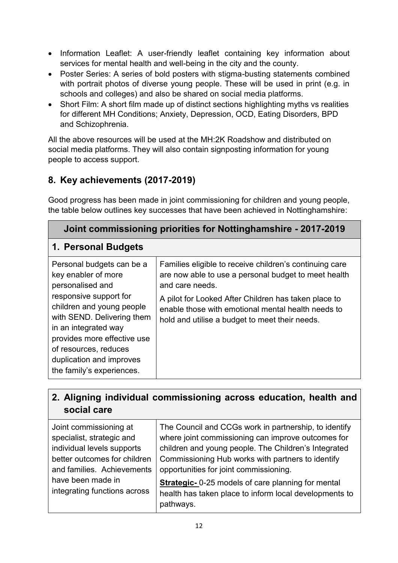- Information Leaflet: A user-friendly leaflet containing key information about services for mental health and well-being in the city and the county.
- Poster Series: A series of bold posters with stigma-busting statements combined with portrait photos of diverse young people. These will be used in print (e.g. in schools and colleges) and also be shared on social media platforms.
- Short Film: A short film made up of distinct sections highlighting myths vs realities for different MH Conditions; Anxiety, Depression, OCD, Eating Disorders, BPD and Schizophrenia.

All the above resources will be used at the MH:2K Roadshow and distributed on social media platforms. They will also contain signposting information for young people to access support.

## **8. Key achievements (2017-2019)**

Good progress has been made in joint commissioning for children and young people, the table below outlines key successes that have been achieved in Nottinghamshire:

| Joint commissioning priorities for Nottinghamshire - 2017-2019                                                                                                                                                                                                                                     |                                                                                                                                                                                                                                                                                                    |  |  |
|----------------------------------------------------------------------------------------------------------------------------------------------------------------------------------------------------------------------------------------------------------------------------------------------------|----------------------------------------------------------------------------------------------------------------------------------------------------------------------------------------------------------------------------------------------------------------------------------------------------|--|--|
| 1. Personal Budgets                                                                                                                                                                                                                                                                                |                                                                                                                                                                                                                                                                                                    |  |  |
| Personal budgets can be a<br>key enabler of more<br>personalised and<br>responsive support for<br>children and young people<br>with SEND. Delivering them<br>in an integrated way<br>provides more effective use<br>of resources, reduces<br>duplication and improves<br>the family's experiences. | Families eligible to receive children's continuing care<br>are now able to use a personal budget to meet health<br>and care needs.<br>A pilot for Looked After Children has taken place to<br>enable those with emotional mental health needs to<br>hold and utilise a budget to meet their needs. |  |  |

## **2. Aligning individual commissioning across education, health and social care**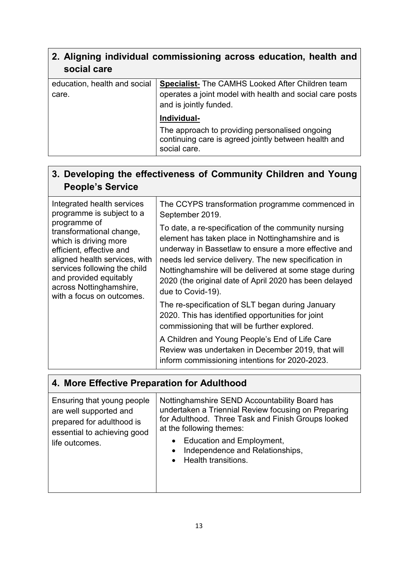| 2. Aligning individual commissioning across education, health and |  |  |
|-------------------------------------------------------------------|--|--|
| social care                                                       |  |  |

| education, health and social | <b>Specialist-</b> The CAMHS Looked After Children team                                                                |  |
|------------------------------|------------------------------------------------------------------------------------------------------------------------|--|
| care.                        | operates a joint model with health and social care posts<br>and is jointly funded.                                     |  |
|                              | Individual-                                                                                                            |  |
|                              | The approach to providing personalised ongoing<br>continuing care is agreed jointly between health and<br>social care. |  |

## **3. Developing the effectiveness of Community Children and Young People's Service**

| Integrated health services<br>programme is subject to a                                                                                                                                                                                          | The CCYPS transformation programme commenced in<br>September 2019.                                                                                                                                                                                                                                                                                                 |
|--------------------------------------------------------------------------------------------------------------------------------------------------------------------------------------------------------------------------------------------------|--------------------------------------------------------------------------------------------------------------------------------------------------------------------------------------------------------------------------------------------------------------------------------------------------------------------------------------------------------------------|
| programme of<br>transformational change,<br>which is driving more<br>efficient, effective and<br>aligned health services, with<br>services following the child<br>and provided equitably<br>across Nottinghamshire,<br>with a focus on outcomes. | To date, a re-specification of the community nursing<br>element has taken place in Nottinghamshire and is<br>underway in Bassetlaw to ensure a more effective and<br>needs led service delivery. The new specification in<br>Nottinghamshire will be delivered at some stage during<br>2020 (the original date of April 2020 has been delayed<br>due to Covid-19). |
|                                                                                                                                                                                                                                                  | The re-specification of SLT began during January<br>2020. This has identified opportunities for joint<br>commissioning that will be further explored.                                                                                                                                                                                                              |
|                                                                                                                                                                                                                                                  | A Children and Young People's End of Life Care<br>Review was undertaken in December 2019, that will<br>inform commissioning intentions for 2020-2023.                                                                                                                                                                                                              |

## **4. More Effective Preparation for Adulthood**

| Ensuring that young people<br>are well supported and<br>prepared for adulthood is<br>essential to achieving good<br>life outcomes. | Nottinghamshire SEND Accountability Board has<br>undertaken a Triennial Review focusing on Preparing<br>for Adulthood. Three Task and Finish Groups looked<br>at the following themes:<br>Education and Employment,<br>Independence and Relationships,<br>$\bullet$<br>Health transitions. |
|------------------------------------------------------------------------------------------------------------------------------------|--------------------------------------------------------------------------------------------------------------------------------------------------------------------------------------------------------------------------------------------------------------------------------------------|
|                                                                                                                                    |                                                                                                                                                                                                                                                                                            |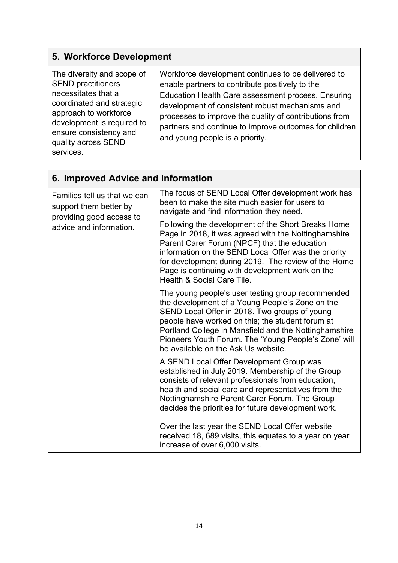## **5. Workforce Development**

| The diversity and scope of<br><b>SEND practitioners</b><br>necessitates that a<br>coordinated and strategic<br>approach to workforce<br>development is required to<br>ensure consistency and<br>quality across SEND<br>services. | Workforce development continues to be delivered to<br>enable partners to contribute positively to the<br>Education Health Care assessment process. Ensuring<br>development of consistent robust mechanisms and<br>processes to improve the quality of contributions from<br>partners and continue to improve outcomes for children<br>and young people is a priority. |
|----------------------------------------------------------------------------------------------------------------------------------------------------------------------------------------------------------------------------------|-----------------------------------------------------------------------------------------------------------------------------------------------------------------------------------------------------------------------------------------------------------------------------------------------------------------------------------------------------------------------|
|----------------------------------------------------------------------------------------------------------------------------------------------------------------------------------------------------------------------------------|-----------------------------------------------------------------------------------------------------------------------------------------------------------------------------------------------------------------------------------------------------------------------------------------------------------------------------------------------------------------------|

| 6. Improved Advice and Information                                                 |                                                                                                                                                                                                                                                                                                                                                                   |  |
|------------------------------------------------------------------------------------|-------------------------------------------------------------------------------------------------------------------------------------------------------------------------------------------------------------------------------------------------------------------------------------------------------------------------------------------------------------------|--|
| Families tell us that we can<br>support them better by<br>providing good access to | The focus of SEND Local Offer development work has<br>been to make the site much easier for users to<br>navigate and find information they need.                                                                                                                                                                                                                  |  |
| advice and information.                                                            | Following the development of the Short Breaks Home<br>Page in 2018, it was agreed with the Nottinghamshire<br>Parent Carer Forum (NPCF) that the education<br>information on the SEND Local Offer was the priority<br>for development during 2019. The review of the Home<br>Page is continuing with development work on the<br>Health & Social Care Tile.        |  |
|                                                                                    | The young people's user testing group recommended<br>the development of a Young People's Zone on the<br>SEND Local Offer in 2018. Two groups of young<br>people have worked on this; the student forum at<br>Portland College in Mansfield and the Nottinghamshire<br>Pioneers Youth Forum. The 'Young People's Zone' will<br>be available on the Ask Us website. |  |
|                                                                                    | A SEND Local Offer Development Group was<br>established in July 2019. Membership of the Group<br>consists of relevant professionals from education,<br>health and social care and representatives from the<br>Nottinghamshire Parent Carer Forum. The Group<br>decides the priorities for future development work.                                                |  |
|                                                                                    | Over the last year the SEND Local Offer website<br>received 18, 689 visits, this equates to a year on year<br>increase of over 6,000 visits.                                                                                                                                                                                                                      |  |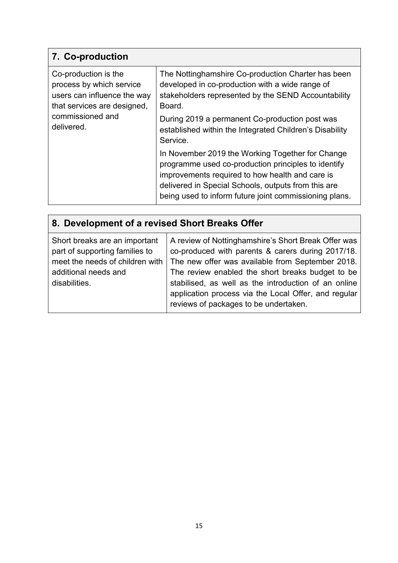## **7. Co-production**

| Co-production is the<br>process by which service<br>users can influence the way<br>that services are designed, | The Nottinghamshire Co-production Charter has been<br>developed in co-production with a wide range of<br>stakeholders represented by the SEND Accountability<br>Board.                                                                                                      |
|----------------------------------------------------------------------------------------------------------------|-----------------------------------------------------------------------------------------------------------------------------------------------------------------------------------------------------------------------------------------------------------------------------|
| commissioned and<br>delivered.                                                                                 | During 2019 a permanent Co-production post was<br>established within the Integrated Children's Disability<br>Service.                                                                                                                                                       |
|                                                                                                                | In November 2019 the Working Together for Change<br>programme used co-production principles to identify<br>improvements required to how health and care is<br>delivered in Special Schools, outputs from this are<br>being used to inform future joint commissioning plans. |

| 8. Development of a revised Short Breaks Offer                                                                                              |                                                                                                                                                                                                                                                                                                                                                                           |  |  |
|---------------------------------------------------------------------------------------------------------------------------------------------|---------------------------------------------------------------------------------------------------------------------------------------------------------------------------------------------------------------------------------------------------------------------------------------------------------------------------------------------------------------------------|--|--|
| Short breaks are an important<br>part of supporting families to<br>meet the needs of children with<br>additional needs and<br>disabilities. | A review of Nottinghamshire's Short Break Offer was<br>co-produced with parents & carers during 2017/18.<br>The new offer was available from September 2018.<br>The review enabled the short breaks budget to be<br>stabilised, as well as the introduction of an online<br>application process via the Local Offer, and regular<br>reviews of packages to be undertaken. |  |  |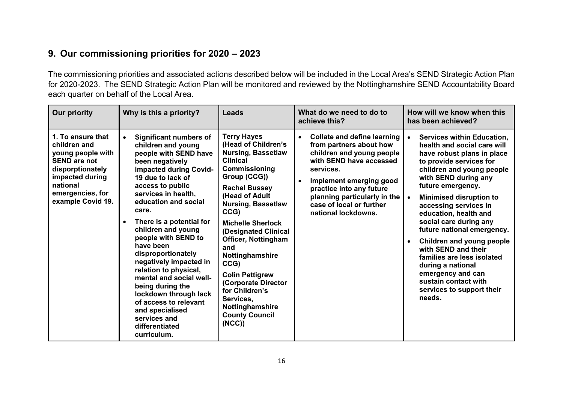## **9. Our commissioning priorities for 2020 – 2023**

The commissioning priorities and associated actions described below will be included in the Local Area's SEND Strategic Action Plan for 2020-2023. The SEND Strategic Action Plan will be monitored and reviewed by the Nottinghamshire SEND Accountability Board each quarter on behalf of the Local Area.

| <b>Our priority</b>                                                                                                                                                       | Why is this a priority?                                                                                                                                                                                                                                                                                                                                                                                                                                                                                                                                                                  | Leads                                                                                                                                                                                                                                                                                                                                                                                                                                                                     | What do we need to do to<br>achieve this?                                                                                                                                                                                                                                                 | How will we know when this<br>has been achieved?                                                                                                                                                                                                                                                                                                                                                                                                                                                                                                        |
|---------------------------------------------------------------------------------------------------------------------------------------------------------------------------|------------------------------------------------------------------------------------------------------------------------------------------------------------------------------------------------------------------------------------------------------------------------------------------------------------------------------------------------------------------------------------------------------------------------------------------------------------------------------------------------------------------------------------------------------------------------------------------|---------------------------------------------------------------------------------------------------------------------------------------------------------------------------------------------------------------------------------------------------------------------------------------------------------------------------------------------------------------------------------------------------------------------------------------------------------------------------|-------------------------------------------------------------------------------------------------------------------------------------------------------------------------------------------------------------------------------------------------------------------------------------------|---------------------------------------------------------------------------------------------------------------------------------------------------------------------------------------------------------------------------------------------------------------------------------------------------------------------------------------------------------------------------------------------------------------------------------------------------------------------------------------------------------------------------------------------------------|
| 1. To ensure that<br>children and<br>young people with<br><b>SEND are not</b><br>disporptionately<br>impacted during<br>national<br>emergencies, for<br>example Covid 19. | <b>Significant numbers of</b><br>$\bullet$<br>children and young<br>people with SEND have<br>been negatively<br>impacted during Covid-<br>19 due to lack of<br>access to public<br>services in health,<br>education and social<br>care.<br>There is a potential for<br>$\bullet$<br>children and young<br>people with SEND to<br>have been<br>disproportionately<br>negatively impacted in<br>relation to physical,<br>mental and social well-<br>being during the<br>lockdown through lack<br>of access to relevant<br>and specialised<br>services and<br>differentiated<br>curriculum. | <b>Terry Hayes</b><br>(Head of Children's<br><b>Nursing, Bassetlaw</b><br><b>Clinical</b><br><b>Commissioning</b><br>Group (CCG))<br><b>Rachel Bussey</b><br>(Head of Adult<br><b>Nursing, Bassetlaw</b><br>CCG)<br><b>Michelle Sherlock</b><br>(Designated Clinical<br><b>Officer, Nottingham</b><br>and<br>Nottinghamshire<br>CCG)<br><b>Colin Pettigrew</b><br>(Corporate Director<br>for Children's<br>Services,<br>Nottinghamshire<br><b>County Council</b><br>(NCC) | <b>Collate and define learning</b><br>from partners about how<br>children and young people<br>with SEND have accessed<br>services.<br>Implement emerging good<br>$\bullet$<br>practice into any future<br>planning particularly in the<br>case of local or further<br>national lockdowns. | <b>Services within Education,</b><br>health and social care will<br>have robust plans in place<br>to provide services for<br>children and young people<br>with SEND during any<br>future emergency.<br><b>Minimised disruption to</b><br>$\bullet$<br>accessing services in<br>education, health and<br>social care during any<br>future national emergency.<br>Children and young people<br>with SEND and their<br>families are less isolated<br>during a national<br>emergency and can<br>sustain contact with<br>services to support their<br>needs. |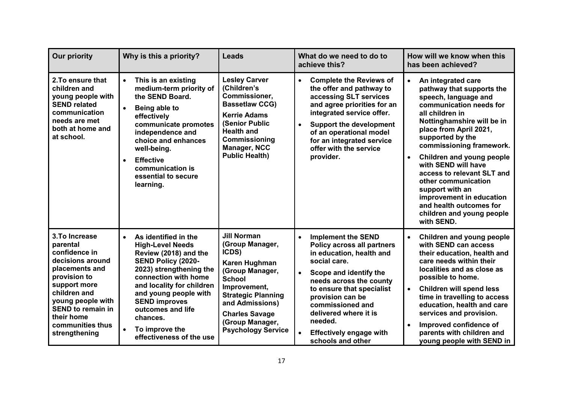| <b>Our priority</b>                                                                                                                                                                                                                   | Why is this a priority?                                                                                                                                                                                                                                                                                                                  | <b>Leads</b>                                                                                                                                                                                                                                 | What do we need to do to<br>achieve this?                                                                                                                                                                                                                                                                                                                              | How will we know when this<br>has been achieved?                                                                                                                                                                                                                                                                                                                                                                                                                                      |
|---------------------------------------------------------------------------------------------------------------------------------------------------------------------------------------------------------------------------------------|------------------------------------------------------------------------------------------------------------------------------------------------------------------------------------------------------------------------------------------------------------------------------------------------------------------------------------------|----------------------------------------------------------------------------------------------------------------------------------------------------------------------------------------------------------------------------------------------|------------------------------------------------------------------------------------------------------------------------------------------------------------------------------------------------------------------------------------------------------------------------------------------------------------------------------------------------------------------------|---------------------------------------------------------------------------------------------------------------------------------------------------------------------------------------------------------------------------------------------------------------------------------------------------------------------------------------------------------------------------------------------------------------------------------------------------------------------------------------|
| 2. To ensure that<br>children and<br>young people with<br><b>SEND related</b><br>communication<br>needs are met<br>both at home and<br>at school.                                                                                     | This is an existing<br>$\bullet$<br>medium-term priority of<br>the SEND Board.<br>Being able to<br>$\bullet$<br>effectively<br>communicate promotes<br>independence and<br>choice and enhances<br>well-being.<br><b>Effective</b><br>$\bullet$<br>communication is<br>essential to secure<br>learning.                                   | <b>Lesley Carver</b><br>(Children's<br>Commissioner,<br><b>Bassetlaw CCG)</b><br><b>Kerrie Adams</b><br>(Senior Public<br><b>Health and</b><br>Commissioning<br><b>Manager, NCC</b><br><b>Public Health)</b>                                 | <b>Complete the Reviews of</b><br>$\bullet$<br>the offer and pathway to<br>accessing SLT services<br>and agree priorities for an<br>integrated service offer.<br><b>Support the development</b><br>$\bullet$<br>of an operational model<br>for an integrated service<br>offer with the service<br>provider.                                                            | An integrated care<br>$\bullet$<br>pathway that supports the<br>speech, language and<br>communication needs for<br>all children in<br>Nottinghamshire will be in<br>place from April 2021,<br>supported by the<br>commissioning framework.<br>Children and young people<br>$\bullet$<br>with SEND will have<br>access to relevant SLT and<br>other communication<br>support with an<br>improvement in education<br>and health outcomes for<br>children and young people<br>with SEND. |
| 3. To Increase<br>parental<br>confidence in<br>decisions around<br>placements and<br>provision to<br>support more<br>children and<br>young people with<br><b>SEND to remain in</b><br>their home<br>communities thus<br>strengthening | As identified in the<br>$\bullet$<br><b>High-Level Needs</b><br>Review (2018) and the<br>SEND Policy (2020-<br>2023) strengthening the<br>connection with home<br>and locality for children<br>and young people with<br><b>SEND improves</b><br>outcomes and life<br>chances.<br>To improve the<br>$\bullet$<br>effectiveness of the use | <b>Jill Norman</b><br>(Group Manager,<br>ICDS)<br>Karen Hughman<br>(Group Manager,<br><b>School</b><br>Improvement,<br><b>Strategic Planning</b><br>and Admissions)<br><b>Charles Savage</b><br>(Group Manager,<br><b>Psychology Service</b> | <b>Implement the SEND</b><br>$\bullet$<br><b>Policy across all partners</b><br>in education, health and<br>social care.<br>Scope and identify the<br>$\bullet$<br>needs across the county<br>to ensure that specialist<br>provision can be<br>commissioned and<br>delivered where it is<br>needed.<br><b>Effectively engage with</b><br>$\bullet$<br>schools and other | <b>Children and young people</b><br>$\bullet$<br>with SEND can access<br>their education, health and<br>care needs within their<br>localities and as close as<br>possible to home.<br><b>Children will spend less</b><br>$\bullet$<br>time in travelling to access<br>education, health and care<br>services and provision.<br>Improved confidence of<br>$\bullet$<br>parents with children and<br>young people with SEND in                                                          |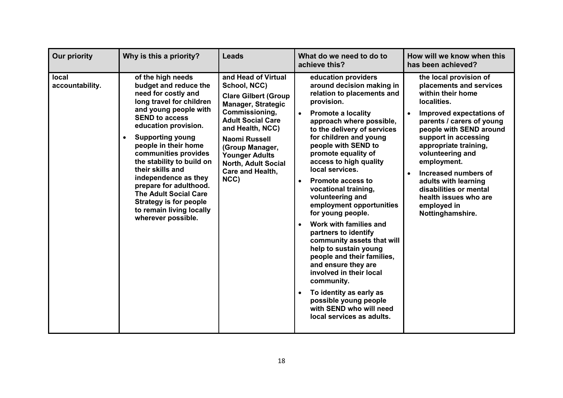| <b>Our priority</b>      | Why is this a priority?                                                                                                                                                                                                                                                                                                                                                                                                                                                  | <b>Leads</b>                                                                                                                                                                                                                                                                      | What do we need to do to<br>achieve this?                                                                                                                                                                                                                                                                                                                                                                                                                                                                                                                                                                                                                                                                                                                                                                 | How will we know when this<br>has been achieved?                                                                                                                                                                                                                                                                                                                                                    |
|--------------------------|--------------------------------------------------------------------------------------------------------------------------------------------------------------------------------------------------------------------------------------------------------------------------------------------------------------------------------------------------------------------------------------------------------------------------------------------------------------------------|-----------------------------------------------------------------------------------------------------------------------------------------------------------------------------------------------------------------------------------------------------------------------------------|-----------------------------------------------------------------------------------------------------------------------------------------------------------------------------------------------------------------------------------------------------------------------------------------------------------------------------------------------------------------------------------------------------------------------------------------------------------------------------------------------------------------------------------------------------------------------------------------------------------------------------------------------------------------------------------------------------------------------------------------------------------------------------------------------------------|-----------------------------------------------------------------------------------------------------------------------------------------------------------------------------------------------------------------------------------------------------------------------------------------------------------------------------------------------------------------------------------------------------|
| local<br>accountability. | of the high needs<br>budget and reduce the<br>need for costly and<br>long travel for children<br>and young people with<br><b>SEND to access</b><br>education provision.<br><b>Supporting young</b><br>people in their home<br>communities provides<br>the stability to build on<br>their skills and<br>independence as they<br>prepare for adulthood.<br><b>The Adult Social Care</b><br><b>Strategy is for people</b><br>to remain living locally<br>wherever possible. | and Head of Virtual<br>School, NCC)<br><b>Clare Gilbert (Group</b><br><b>Manager, Strategic</b><br>Commissioning,<br><b>Adult Social Care</b><br>and Health, NCC)<br>Naomi Russell<br>(Group Manager,<br><b>Younger Adults</b><br>North, Adult Social<br>Care and Health,<br>NCC) | education providers<br>around decision making in<br>relation to placements and<br>provision.<br><b>Promote a locality</b><br>$\bullet$<br>approach where possible,<br>to the delivery of services<br>for children and young<br>people with SEND to<br>promote equality of<br>access to high quality<br>local services.<br><b>Promote access to</b><br>$\bullet$<br>vocational training,<br>volunteering and<br>employment opportunities<br>for young people.<br>Work with families and<br>$\bullet$<br>partners to identify<br>community assets that will<br>help to sustain young<br>people and their families,<br>and ensure they are<br>involved in their local<br>community.<br>To identity as early as<br>$\bullet$<br>possible young people<br>with SEND who will need<br>local services as adults. | the local provision of<br>placements and services<br>within their home<br>localities.<br>Improved expectations of<br>parents / carers of young<br>people with SEND around<br>support in accessing<br>appropriate training,<br>volunteering and<br>employment.<br>Increased numbers of<br>adults with learning<br>disabilities or mental<br>health issues who are<br>employed in<br>Nottinghamshire. |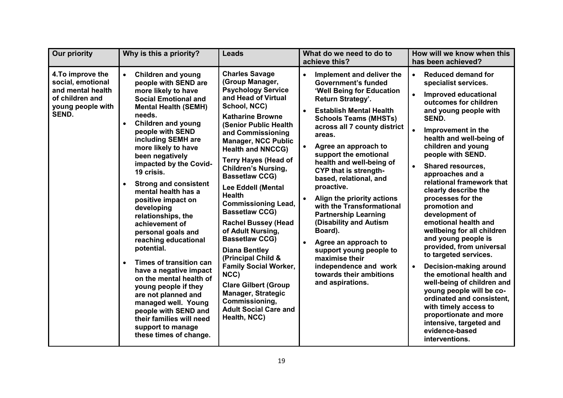| <b>Our priority</b>                                                                                          | Why is this a priority?                                                                                                                                                                                                                                                                                                                                                                                                                                                                                                                                                                                                                                                                                                                                                                                               | <b>Leads</b>                                                                                                                                                                                                                                                                                                                                                                                                                                                                                                                                                                                                                                                                                                                               | What do we need to do to<br>achieve this?                                                                                                                                                                                                                                                                                                                                                                                                                                                                                                                                                                                                                           | How will we know when this<br>has been achieved?                                                                                                                                                                                                                                                                                                                                                                                                                                                                                                                                                                                                                                                                                                                                                                          |
|--------------------------------------------------------------------------------------------------------------|-----------------------------------------------------------------------------------------------------------------------------------------------------------------------------------------------------------------------------------------------------------------------------------------------------------------------------------------------------------------------------------------------------------------------------------------------------------------------------------------------------------------------------------------------------------------------------------------------------------------------------------------------------------------------------------------------------------------------------------------------------------------------------------------------------------------------|--------------------------------------------------------------------------------------------------------------------------------------------------------------------------------------------------------------------------------------------------------------------------------------------------------------------------------------------------------------------------------------------------------------------------------------------------------------------------------------------------------------------------------------------------------------------------------------------------------------------------------------------------------------------------------------------------------------------------------------------|---------------------------------------------------------------------------------------------------------------------------------------------------------------------------------------------------------------------------------------------------------------------------------------------------------------------------------------------------------------------------------------------------------------------------------------------------------------------------------------------------------------------------------------------------------------------------------------------------------------------------------------------------------------------|---------------------------------------------------------------------------------------------------------------------------------------------------------------------------------------------------------------------------------------------------------------------------------------------------------------------------------------------------------------------------------------------------------------------------------------------------------------------------------------------------------------------------------------------------------------------------------------------------------------------------------------------------------------------------------------------------------------------------------------------------------------------------------------------------------------------------|
| 4. To improve the<br>social, emotional<br>and mental health<br>of children and<br>young people with<br>SEND. | $\bullet$<br><b>Children and young</b><br>people with SEND are<br>more likely to have<br><b>Social Emotional and</b><br><b>Mental Health (SEMH)</b><br>needs.<br><b>Children and young</b><br>$\bullet$<br>people with SEND<br>including SEMH are<br>more likely to have<br>been negatively<br>impacted by the Covid-<br>19 crisis.<br><b>Strong and consistent</b><br>$\bullet$<br>mental health has a<br>positive impact on<br>developing<br>relationships, the<br>achievement of<br>personal goals and<br>reaching educational<br>potential.<br>Times of transition can<br>$\bullet$<br>have a negative impact<br>on the mental health of<br>young people if they<br>are not planned and<br>managed well. Young<br>people with SEND and<br>their families will need<br>support to manage<br>these times of change. | <b>Charles Savage</b><br>(Group Manager,<br><b>Psychology Service</b><br>and Head of Virtual<br>School, NCC)<br><b>Katharine Browne</b><br><b>(Senior Public Health</b><br>and Commissioning<br><b>Manager, NCC Public</b><br><b>Health and NNCCG)</b><br><b>Terry Hayes (Head of</b><br><b>Children's Nursing,</b><br><b>Bassetlaw CCG)</b><br>Lee Eddell (Mental<br><b>Health</b><br><b>Commissioning Lead,</b><br><b>Bassetlaw CCG)</b><br><b>Rachel Bussey (Head</b><br>of Adult Nursing,<br><b>Bassetlaw CCG)</b><br><b>Diana Bentley</b><br>(Principal Child &<br><b>Family Social Worker,</b><br>NCC)<br><b>Clare Gilbert (Group</b><br><b>Manager, Strategic</b><br>Commissioning,<br><b>Adult Social Care and</b><br>Health, NCC) | Implement and deliver the<br>$\bullet$<br><b>Government's funded</b><br>'Well Being for Education<br>Return Strategy'.<br><b>Establish Mental Health</b><br><b>Schools Teams (MHSTs)</b><br>across all 7 county district<br>areas.<br>Agree an approach to<br>support the emotional<br>health and well-being of<br><b>CYP that is strength-</b><br>based, relational, and<br>proactive.<br>Align the priority actions<br>with the Transformational<br><b>Partnership Learning</b><br>(Disability and Autism<br>Board).<br>Agree an approach to<br>support young people to<br>maximise their<br>independence and work<br>towards their ambitions<br>and aspirations. | <b>Reduced demand for</b><br>$\bullet$<br>specialist services.<br>Improved educational<br>outcomes for children<br>and young people with<br>SEND.<br>Improvement in the<br>health and well-being of<br>children and young<br>people with SEND.<br><b>Shared resources,</b><br>approaches and a<br>relational framework that<br>clearly describe the<br>processes for the<br>promotion and<br>development of<br>emotional health and<br>wellbeing for all children<br>and young people is<br>provided, from universal<br>to targeted services.<br>Decision-making around<br>$\bullet$<br>the emotional health and<br>well-being of children and<br>young people will be co-<br>ordinated and consistent,<br>with timely access to<br>proportionate and more<br>intensive, targeted and<br>evidence-based<br>interventions. |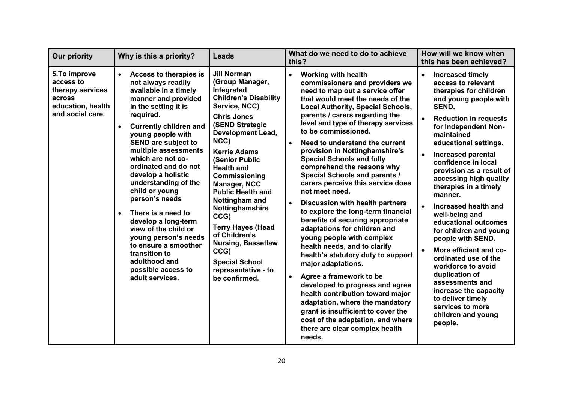| <b>Our priority</b>                                                                              | Why is this a priority?                                                                                                                                                                                                                                                                                                                                                                                                                                                                                                                                                                                                    | <b>Leads</b>                                                                                                                                                                                                                                                                                                                                                                                                                                                                                                                      | What do we need to do to achieve<br>this?                                                                                                                                                                                                                                                                                                                                                                                                                                                                                                                                                                                                                                                                                                                                                                                                                                                                                                                                                                                                                                 | How will we know when<br>this has been achieved?                                                                                                                                                                                                                                                                                                                                                                                                                                                                                                                                                                                                                                                                                            |
|--------------------------------------------------------------------------------------------------|----------------------------------------------------------------------------------------------------------------------------------------------------------------------------------------------------------------------------------------------------------------------------------------------------------------------------------------------------------------------------------------------------------------------------------------------------------------------------------------------------------------------------------------------------------------------------------------------------------------------------|-----------------------------------------------------------------------------------------------------------------------------------------------------------------------------------------------------------------------------------------------------------------------------------------------------------------------------------------------------------------------------------------------------------------------------------------------------------------------------------------------------------------------------------|---------------------------------------------------------------------------------------------------------------------------------------------------------------------------------------------------------------------------------------------------------------------------------------------------------------------------------------------------------------------------------------------------------------------------------------------------------------------------------------------------------------------------------------------------------------------------------------------------------------------------------------------------------------------------------------------------------------------------------------------------------------------------------------------------------------------------------------------------------------------------------------------------------------------------------------------------------------------------------------------------------------------------------------------------------------------------|---------------------------------------------------------------------------------------------------------------------------------------------------------------------------------------------------------------------------------------------------------------------------------------------------------------------------------------------------------------------------------------------------------------------------------------------------------------------------------------------------------------------------------------------------------------------------------------------------------------------------------------------------------------------------------------------------------------------------------------------|
| 5.To improve<br>access to<br>therapy services<br>across<br>education, health<br>and social care. | <b>Access to therapies is</b><br>$\bullet$<br>not always readily<br>available in a timely<br>manner and provided<br>in the setting it is<br>required.<br><b>Currently children and</b><br>$\bullet$<br>young people with<br><b>SEND are subject to</b><br>multiple assessments<br>which are not co-<br>ordinated and do not<br>develop a holistic<br>understanding of the<br>child or young<br>person's needs<br>There is a need to<br>$\bullet$<br>develop a long-term<br>view of the child or<br>young person's needs<br>to ensure a smoother<br>transition to<br>adulthood and<br>possible access to<br>adult services. | <b>Jill Norman</b><br>(Group Manager,<br>Integrated<br><b>Children's Disability</b><br>Service, NCC)<br><b>Chris Jones</b><br><b>(SEND Strategic</b><br><b>Development Lead,</b><br>NCC)<br><b>Kerrie Adams</b><br>(Senior Public<br><b>Health and</b><br><b>Commissioning</b><br><b>Manager, NCC</b><br><b>Public Health and</b><br>Nottingham and<br>Nottinghamshire<br>CCG)<br><b>Terry Hayes (Head</b><br>of Children's<br><b>Nursing, Bassetlaw</b><br>CCG)<br><b>Special School</b><br>representative - to<br>be confirmed. | <b>Working with health</b><br>$\bullet$<br>commissioners and providers we<br>need to map out a service offer<br>that would meet the needs of the<br><b>Local Authority, Special Schools,</b><br>parents / carers regarding the<br>level and type of therapy services<br>to be commissioned.<br>Need to understand the current<br>provision in Nottinghamshire's<br><b>Special Schools and fully</b><br>comprehend the reasons why<br><b>Special Schools and parents /</b><br>carers perceive this service does<br>not meet need.<br><b>Discussion with health partners</b><br>to explore the long-term financial<br>benefits of securing appropriate<br>adaptations for children and<br>young people with complex<br>health needs, and to clarify<br>health's statutory duty to support<br>major adaptations.<br>Agree a framework to be<br>developed to progress and agree<br>health contribution toward major<br>adaptation, where the mandatory<br>grant is insufficient to cover the<br>cost of the adaptation, and where<br>there are clear complex health<br>needs. | Increased timely<br>$\bullet$<br>access to relevant<br>therapies for children<br>and young people with<br><b>SEND.</b><br>$\bullet$<br><b>Reduction in requests</b><br>for Independent Non-<br>maintained<br>educational settings.<br><b>Increased parental</b><br>$\bullet$<br>confidence in local<br>provision as a result of<br>accessing high quality<br>therapies in a timely<br>manner.<br>$\bullet$<br>Increased health and<br>well-being and<br>educational outcomes<br>for children and young<br>people with SEND.<br>More efficient and co-<br>ordinated use of the<br>workforce to avoid<br>duplication of<br>assessments and<br>increase the capacity<br>to deliver timely<br>services to more<br>children and young<br>people. |